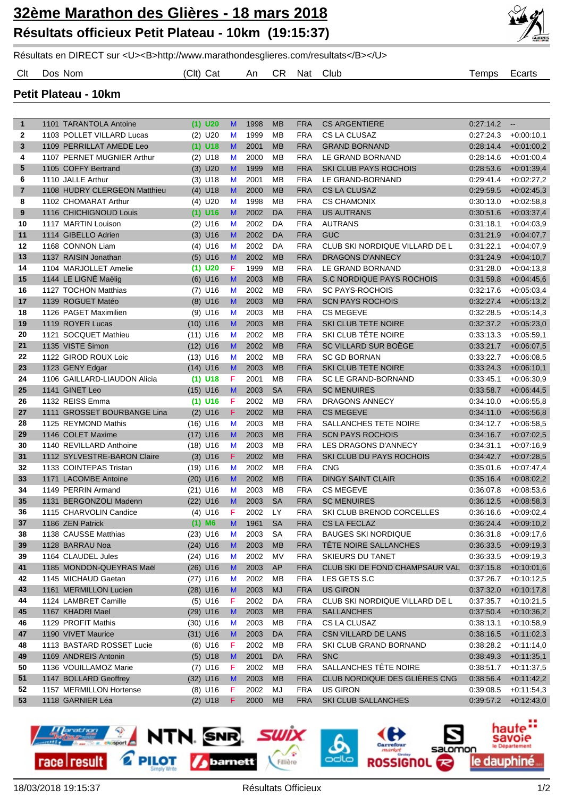

Résultats en DIRECT sur <U><B>http://www.marathondesglieres.com/resultats</B></U>

Clt Dos Nom (Clt) Cat An CR Nat Club Temps Ecarts

**Petit Plateau - 10km**

| $\mathbf{1}$   | 1101 TARANTOLA Antoine       | $(1)$ U20  | M | 1998 | <b>MB</b> | <b>FRA</b> | <b>CS ARGENTIERE</b>           | 0:27:14.2 | $\sim$       |
|----------------|------------------------------|------------|---|------|-----------|------------|--------------------------------|-----------|--------------|
| 2              | 1103 POLLET VILLARD Lucas    | $(2)$ U20  | M | 1999 | MB        | <b>FRA</b> | CS LA CLUSAZ                   | 0:27:24.3 | $+0.00:10.1$ |
| 3              | 1109 PERRILLAT AMEDE Leo     | $(1)$ U18  | M | 2001 | <b>MB</b> | <b>FRA</b> | <b>GRAND BORNAND</b>           | 0.28:14.4 | $+0.01:00.2$ |
| 4              | 1107 PERNET MUGNIER Arthur   | $(2)$ U18  | M | 2000 | MB        | <b>FRA</b> | LE GRAND BORNAND               | 0.28:14.6 | $+0.01:00,4$ |
| 5              | 1105 COFFY Bertrand          | $(3)$ U20  | M | 1999 | <b>MB</b> | <b>FRA</b> | <b>SKI CLUB PAYS ROCHOIS</b>   | 0:28:53.6 | $+0.01:39,4$ |
| 6              | 1110 JALLE Arthur            | $(3)$ U18  | M | 2001 | MB        | <b>FRA</b> | LE GRAND-BORNAND               | 0:29:41.4 | $+0.02:27,2$ |
| $\overline{7}$ | 1108 HUDRY CLERGEON Matthieu | $(4)$ U18  | M | 2000 | <b>MB</b> | <b>FRA</b> | <b>CS LA CLUSAZ</b>            | 0:29:59.5 | $+0.02:45,3$ |
| 8              | 1102 CHOMARAT Arthur         | $(4)$ U20  | M | 1998 | MB        | <b>FRA</b> | <b>CS CHAMONIX</b>             | 0.30:13.0 | $+0.02:58.8$ |
| 9              | 1116 CHICHIGNOUD Louis       | $(1)$ U16  | M | 2002 | <b>DA</b> | <b>FRA</b> | <b>US AUTRANS</b>              | 0:30:51.6 | $+0.03:37,4$ |
| 10             | 1117 MARTIN Louison          | $(2)$ U16  | M | 2002 | DA        | <b>FRA</b> | <b>AUTRANS</b>                 | 0.31:18.1 | $+0.04:03.9$ |
| 11             | 1114 GIBELLO Adrien          | $(3)$ U16  | M | 2002 | <b>DA</b> | <b>FRA</b> | <b>GUC</b>                     | 0.31:21.9 | $+0.04:07,7$ |
| 12             | 1168 CONNON Liam             | $(4)$ U16  | M | 2002 | DA        | <b>FRA</b> | CLUB SKI NORDIQUE VILLARD DE L | 0.31:22.1 | $+0.04:07.9$ |
| 13             | 1137 RAISIN Jonathan         | $(5)$ U16  | M | 2002 | <b>MB</b> | <b>FRA</b> | <b>DRAGONS D'ANNECY</b>        | 0.31.24.9 | $+0.04:10,7$ |
| 14             | 1104 MARJOLLET Amelie        | $(1)$ U20  | F | 1999 | MB        | <b>FRA</b> | LE GRAND BORNAND               | 0.31:28.0 | $+0.04:13.8$ |
| 15             | 1144 LE LIGNÉ Maëlig         | $(6)$ U16  | M | 2003 | <b>MB</b> | <b>FRA</b> | S.C NORDIQUE PAYS ROCHOIS      | 0:31:59.8 | $+0.04:45,6$ |
| 16             | 1127 TOCHON Matthias         | $(7)$ U16  | M | 2002 | <b>MB</b> | <b>FRA</b> | <b>SC PAYS-ROCHOIS</b>         | 0.32:17.6 | $+0.05:03,4$ |
| 17             | 1139 ROGUET Matéo            | $(8)$ U16  | M | 2003 | <b>MB</b> | <b>FRA</b> | <b>SCN PAYS ROCHOIS</b>        | 0.32:27.4 | $+0.05:13,2$ |
| 18             | 1126 PAGET Maximilien        | $(9)$ U16  | M | 2003 | MB        | <b>FRA</b> | <b>CS MEGEVE</b>               | 0.32.28.5 | $+0.05:14.3$ |
| 19             | 1119 ROYER Lucas             | $(10)$ U16 | M | 2003 | <b>MB</b> | <b>FRA</b> | <b>SKI CLUB TETE NOIRE</b>     | 0.32:37.2 | $+0.05:23,0$ |
| 20             | 1121 SOCQUET Mathieu         | $(11)$ U16 | M | 2002 | <b>MB</b> | <b>FRA</b> | SKI CLUB TÊTE NOIRE            | 0.33.13.3 | $+0.05:59,1$ |
| 21             | 1135 VISTE Simon             | $(12)$ U16 | M | 2002 | <b>MB</b> | <b>FRA</b> | SC VILLARD SUR BOËGE           | 0.33:21.7 | $+0.06:07,5$ |
| 22             | 1122 GIROD ROUX Loic         | $(13)$ U16 | M | 2002 | <b>MB</b> | <b>FRA</b> | <b>SC GD BORNAN</b>            | 0:33:22.7 | $+0.06.08,5$ |
| 23             | 1123 GENY Edgar              | $(14)$ U16 | M | 2003 | <b>MB</b> | <b>FRA</b> | <b>SKI CLUB TETE NOIRE</b>     | 0.33:24.3 | $+0.06:10,1$ |
| 24             | 1106 GAILLARD-LIAUDON Alicia | $(1)$ U18  | F | 2001 | MB        | <b>FRA</b> | <b>SC LE GRAND-BORNAND</b>     | 0.33.45.1 | $+0.06:30,9$ |
| 25             | 1141 GINET Leo               | $(15)$ U16 | M | 2003 | <b>SA</b> | <b>FRA</b> | <b>SC MENUIRES</b>             | 0:33:58.7 | $+0.06:44,5$ |
| 26             | 1132 REISS Emma              | $(1)$ U16  | F | 2002 | <b>MB</b> | <b>FRA</b> | <b>DRAGONS ANNECY</b>          | 0.34:10.0 | $+0.06:55,8$ |
| 27             | 1111 GROSSET BOURBANGE Lina  | $(2)$ U16  | F | 2002 | <b>MB</b> | <b>FRA</b> | <b>CS MEGEVE</b>               | 0.34:11.0 | $+0.06:56,8$ |
| 28             | 1125 REYMOND Mathis          | $(16)$ U16 | M | 2003 | MB        | <b>FRA</b> | <b>SALLANCHES TETE NOIRE</b>   | 0:34:12.7 | $+0.06.58,5$ |
| 29             | 1146 COLET Maxime            | $(17)$ U16 | M | 2003 | <b>MB</b> | <b>FRA</b> | <b>SCN PAYS ROCHOIS</b>        | 0:34:16.7 | $+0.07:02,5$ |
| 30             | 1140 REVILLARD Anthoine      | $(18)$ U16 | M | 2003 | MB        | <b>FRA</b> | LES DRAGONS D'ANNECY           | 0.34.31.1 | $+0.07:16.9$ |
| 31             | 1112 SYLVESTRE-BARON Claire  | $(3)$ U16  | F | 2002 | <b>MB</b> | <b>FRA</b> | SKI CLUB DU PAYS ROCHOIS       | 0:34:42.7 | $+0.07:28,5$ |
| 32             | 1133 COINTEPAS Tristan       | $(19)$ U16 | M | 2002 | MB        | <b>FRA</b> | <b>CNG</b>                     | 0.35:01.6 | $+0.07:47,4$ |
| 33             | 1171 LACOMBE Antoine         | $(20)$ U16 | M | 2002 | <b>MB</b> | <b>FRA</b> | <b>DINGY SAINT CLAIR</b>       | 0.35:16.4 | $+0:08:02,2$ |
| 34             | 1149 PERRIN Armand           | $(21)$ U16 | M | 2003 | MB        | <b>FRA</b> | <b>CS MEGEVE</b>               | 0.36:07.8 | $+0.08.53.6$ |
| 35             | 1131 BERGONZOLI Madenn       | $(22)$ U16 | M | 2003 | <b>SA</b> | <b>FRA</b> | <b>SC MENUIRES</b>             | 0:36:12.5 | $+0.08.58,3$ |
| 36             | 1115 CHARVOLIN Candice       | $(4)$ U16  | F | 2002 | LY        | <b>FRA</b> | SKI CLUB BRENOD CORCELLES      | 0.36:16.6 | $+0.09:02,4$ |
| 37             | 1186 ZEN Patrick             | $(1)$ M6   | M | 1961 | <b>SA</b> | <b>FRA</b> | <b>CS LA FECLAZ</b>            | 0.36.24.4 | $+0.09:10,2$ |
| 38             | 1138 CAUSSE Matthias         | $(23)$ U16 | M | 2003 | <b>SA</b> | <b>FRA</b> | <b>BAUGES SKI NORDIQUE</b>     | 0.36.31.8 | $+0.09.17.6$ |
| 39             | 1128 BARRAU Noa              | $(24)$ U16 | M | 2003 | MB        | <b>FRA</b> | TÊTE NOIRE SALLANCHES          | 0:36:33.5 | $+0.09:19,3$ |
| 39             | 1164 CLAUDEL Jules           | $(24)$ U16 | M | 2002 | MV        | <b>FRA</b> | <b>SKIEURS DU TANET</b>        | 0:36:33.5 | $+0.09:19,3$ |
| 41             | 1185 MONDON-QUEYRAS Maël     | $(26)$ U16 | M | 2003 | AP        | <b>FRA</b> | CLUB SKI DE FOND CHAMPSAUR VAL | 0:37:15.8 | $+0.10:01,6$ |
| 42             | 1145 MICHAUD Gaetan          | $(27)$ U16 | M | 2002 | MB        | <b>FRA</b> | LES GETS S.C                   | 0:37:26.7 | $+0.10:12,5$ |
| 43             | 1161 MERMILLON Lucien        | $(28)$ U16 | M | 2003 | <b>MJ</b> | <b>FRA</b> | <b>US GIRON</b>                | 0:37:32.0 | $+0.10:17,8$ |
| 44             | 1124 LAMBRET Camille         | $(5)$ U16  | F | 2002 | DA        | <b>FRA</b> | CLUB SKI NORDIQUE VILLARD DE L | 0:37:35.7 | $+0.10:21,5$ |
| 45             | 1167 KHADRI Mael             | $(29)$ U16 | M | 2003 | <b>MB</b> | <b>FRA</b> | <b>SALLANCHES</b>              | 0:37:50.4 | $+0.10.36,2$ |
| 46             | 1129 PROFIT Mathis           | $(30)$ U16 | M | 2003 | MB        | <b>FRA</b> | CS LA CLUSAZ                   | 0.38:13.1 | $+0.10.58,9$ |
| 47             | 1190 VIVET Maurice           | $(31)$ U16 | M | 2003 | DA        | <b>FRA</b> | CSN VILLARD DE LANS            | 0:38:16.5 | $+0:11:02,3$ |
| 48             | 1113 BASTARD ROSSET Lucie    | $(6)$ U16  | F | 2002 | MB        | <b>FRA</b> | SKI CLUB GRAND BORNAND         | 0:38:28.2 | $+0.11:14,0$ |
| 49             | 1169 ANDREIS Antonin         | $(5)$ U18  | M | 2001 | DA        | <b>FRA</b> | <b>SNC</b>                     | 0:38:49.3 | $+0:11:35,1$ |
| 50             | 1136 VOUILLAMOZ Marie        | $(7)$ U16  | F | 2002 | MВ        | <b>FRA</b> | SALLANCHES TÊTE NOIRE          | 0:38:51.7 | $+0:11:37,5$ |
| 51             | 1147 BOLLARD Geoffrey        | $(32)$ U16 | M | 2003 | <b>MB</b> | <b>FRA</b> | CLUB NORDIQUE DES GLIÈRES CNG  | 0:38:56.4 | $+0:11:42,2$ |
| 52             | 1157 MERMILLON Hortense      | $(8)$ U16  | F | 2002 | MJ        | <b>FRA</b> | <b>US GIRON</b>                | 0:39:08.5 | $+0.11.54,3$ |
| 53             | 1118 GARNIER Léa             | $(2)$ U18  | F | 2000 | <b>MB</b> | <b>FRA</b> | SKI CLUB SALLANCHES            | 0:39:57.2 | $+0.12:43,0$ |